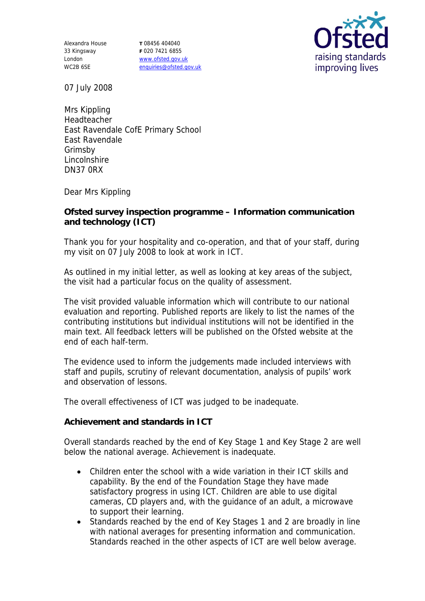Alexandra House 33 Kingsway London WC2B 6SE

**T** 08456 404040 **F** 020 7421 6855 www.ofsted.gov.uk enquiries@ofsted.gov.uk



07 July 2008

Mrs Kippling Headteacher East Ravendale CofE Primary School East Ravendale Grimsby Lincolnshire DN37 0RX

Dear Mrs Kippling

**Ofsted survey inspection programme – Information communication and technology (ICT)**

Thank you for your hospitality and co-operation, and that of your staff, during my visit on 07 July 2008 to look at work in ICT.

As outlined in my initial letter, as well as looking at key areas of the subject, the visit had a particular focus on the quality of assessment.

The visit provided valuable information which will contribute to our national evaluation and reporting. Published reports are likely to list the names of the contributing institutions but individual institutions will not be identified in the main text. All feedback letters will be published on the Ofsted website at the end of each half-term.

The evidence used to inform the judgements made included interviews with staff and pupils, scrutiny of relevant documentation, analysis of pupils' work and observation of lessons.

The overall effectiveness of ICT was judged to be inadequate.

**Achievement and standards in ICT**

Overall standards reached by the end of Key Stage 1 and Key Stage 2 are well below the national average. Achievement is inadequate.

- Children enter the school with a wide variation in their ICT skills and capability. By the end of the Foundation Stage they have made satisfactory progress in using ICT. Children are able to use digital cameras, CD players and, with the guidance of an adult, a microwave to support their learning.
- Standards reached by the end of Key Stages 1 and 2 are broadly in line with national averages for presenting information and communication. Standards reached in the other aspects of ICT are well below average.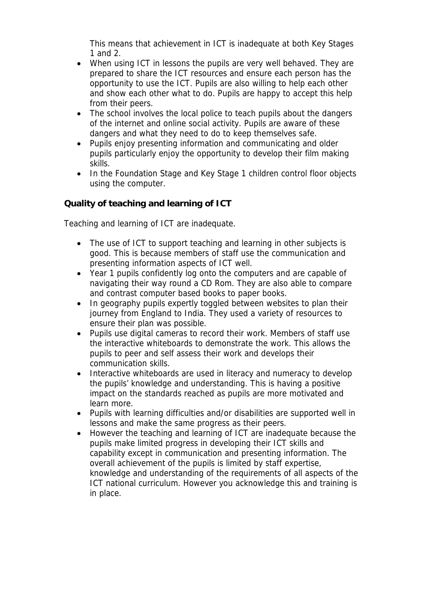This means that achievement in ICT is inadequate at both Key Stages 1 and 2.

- When using ICT in lessons the pupils are very well behaved. They are prepared to share the ICT resources and ensure each person has the opportunity to use the ICT. Pupils are also willing to help each other and show each other what to do. Pupils are happy to accept this help from their peers.
- The school involves the local police to teach pupils about the dangers of the internet and online social activity. Pupils are aware of these dangers and what they need to do to keep themselves safe.
- Pupils enjoy presenting information and communicating and older pupils particularly enjoy the opportunity to develop their film making skills.
- In the Foundation Stage and Key Stage 1 children control floor objects using the computer.

**Quality of teaching and learning of ICT**

Teaching and learning of ICT are inadequate.

- The use of ICT to support teaching and learning in other subjects is good. This is because members of staff use the communication and presenting information aspects of ICT well.
- Year 1 pupils confidently log onto the computers and are capable of navigating their way round a CD Rom. They are also able to compare and contrast computer based books to paper books.
- In geography pupils expertly toggled between websites to plan their journey from England to India. They used a variety of resources to ensure their plan was possible.
- Pupils use digital cameras to record their work. Members of staff use the interactive whiteboards to demonstrate the work. This allows the pupils to peer and self assess their work and develops their communication skills.
- Interactive whiteboards are used in literacy and numeracy to develop the pupils' knowledge and understanding. This is having a positive impact on the standards reached as pupils are more motivated and learn more.
- Pupils with learning difficulties and/or disabilities are supported well in lessons and make the same progress as their peers.
- However the teaching and learning of ICT are inadequate because the pupils make limited progress in developing their ICT skills and capability except in communication and presenting information. The overall achievement of the pupils is limited by staff expertise, knowledge and understanding of the requirements of all aspects of the ICT national curriculum. However you acknowledge this and training is in place.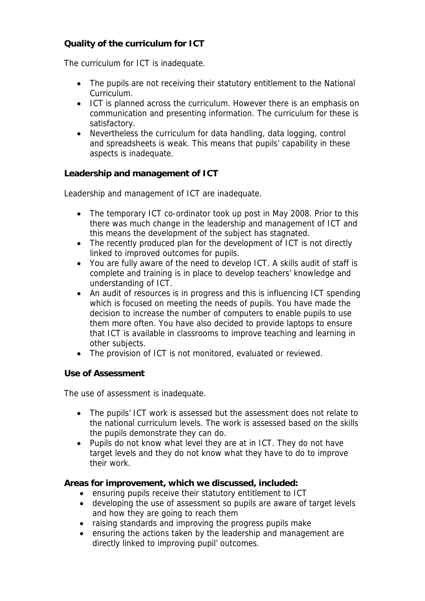## **Quality of the curriculum for ICT**

The curriculum for ICT is inadequate.

- The pupils are not receiving their statutory entitlement to the National Curriculum.
- ICT is planned across the curriculum. However there is an emphasis on communication and presenting information. The curriculum for these is satisfactory.
- Nevertheless the curriculum for data handling, data logging, control and spreadsheets is weak. This means that pupils' capability in these aspects is inadequate.

**Leadership and management of ICT**

Leadership and management of ICT are inadequate.

- The temporary ICT co-ordinator took up post in May 2008. Prior to this there was much change in the leadership and management of ICT and this means the development of the subject has stagnated.
- The recently produced plan for the development of ICT is not directly linked to improved outcomes for pupils.
- You are fully aware of the need to develop ICT. A skills audit of staff is complete and training is in place to develop teachers' knowledge and understanding of ICT.
- An audit of resources is in progress and this is influencing ICT spending which is focused on meeting the needs of pupils. You have made the decision to increase the number of computers to enable pupils to use them more often. You have also decided to provide laptops to ensure that ICT is available in classrooms to improve teaching and learning in other subjects.
- The provision of ICT is not monitored, evaluated or reviewed.

## **Use of Assessment**

The use of assessment is inadequate.

- The pupils' ICT work is assessed but the assessment does not relate to the national curriculum levels. The work is assessed based on the skills the pupils demonstrate they can do.
- Pupils do not know what level they are at in ICT. They do not have target levels and they do not know what they have to do to improve their work.

**Areas for improvement, which we discussed, included:**

- ensuring pupils receive their statutory entitlement to ICT
- developing the use of assessment so pupils are aware of target levels and how they are going to reach them
- raising standards and improving the progress pupils make
- ensuring the actions taken by the leadership and management are directly linked to improving pupil' outcomes.